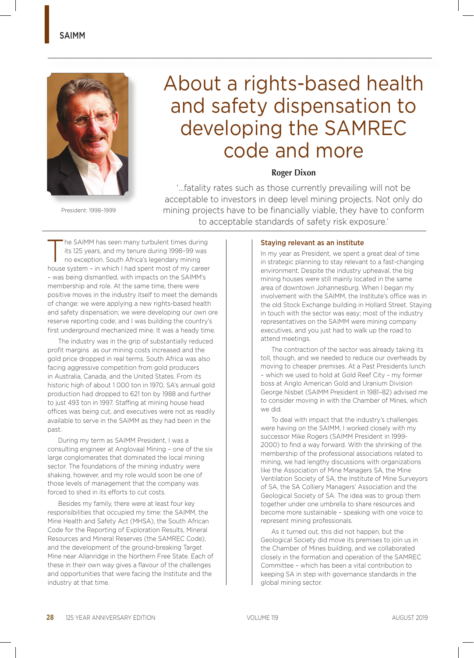

President: 1998–1999

# About a rights-based health and safety dispensation to developing the SAMREC code and more

## **Roger Dixon**

'…fatality rates such as those currently prevailing will not be acceptable to investors in deep level mining projects. Not only do mining projects have to be financially viable, they have to conform to acceptable standards of safety risk exposure.'

The SAIMM has seen many turbulent times during<br>its 125 years, and my tenure during 1998-99 was<br>no exception. South Africa's legendary mining its 125 years, and my tenure during 1998–99 was no exception. South Africa's legendary mining house system – in which I had spent most of my career – was being dismantled, with impacts on the SAIMM's membership and role. At the same time, there were positive moves in the industry itself to meet the demands of change: we were applying a new rights-based health and safety dispensation; we were developing our own ore reserve reporting code; and I was building the country's first underground mechanized mine. It was a heady time.

The industry was in the grip of substantially reduced profit margins as our mining costs increased and the gold price dropped in real terms. South Africa was also facing aggressive competition from gold producers in Australia, Canada, and the United States. From its historic high of about 1 000 ton in 1970, SA's annual gold production had dropped to 621 ton by 1988 and further to just 493 ton in 1997. Staffing at mining house head offices was being cut, and executives were not as readily available to serve in the SAIMM as they had been in the past.

During my term as SAIMM President, I was a consulting engineer at Anglovaal Mining – one of the six large conglomerates that dominated the local mining sector. The foundations of the mining industry were shaking, however, and my role would soon be one of those levels of management that the company was forced to shed in its efforts to cut costs.

Besides my family, there were at least four key responsibilities that occupied my time: the SAIMM, the Mine Health and Safety Act (MHSA), the South African Code for the Reporting of Exploration Results, Mineral Resources and Mineral Reserves (the SAMREC Code), and the development of the ground-breaking Target Mine near Allanridge in the Northern Free State. Each of these in their own way gives a flavour of the challenges and opportunities that were facing the Institute and the industry at that time.

#### Staying relevant as an institute

In my year as President, we spent a great deal of time in strategic planning to stay relevant to a fast-changing environment. Despite the industry upheaval, the big mining houses were still mainly located in the same area of downtown Johannesburg. When I began my involvement with the SAIMM, the Institute's office was in the old Stock Exchange building in Hollard Street. Staying in touch with the sector was easy; most of the industry representatives on the SAIMM were mining company executives, and you just had to walk up the road to attend meetings.

The contraction of the sector was already taking its toll, though, and we needed to reduce our overheads by moving to cheaper premises. At a Past Presidents lunch – which we used to hold at Gold Reef City – my former boss at Anglo American Gold and Uranium Division George Nisbet (SAIMM President in 1981–82) advised me to consider moving in with the Chamber of Mines, which we did.

To deal with impact that the industry's challenges were having on the SAIMM, I worked closely with my successor Mike Rogers (SAIMM President in 1999- 2000) to find a way forward. With the shrinking of the membership of the professional associations related to mining, we had lengthy discussions with organizations like the Association of Mine Managers SA, the Mine Ventilation Society of SA, the Institute of Mine Surveyors of SA, the SA Colliery Managers' Association and the Geological Society of SA. The idea was to group them together under one umbrella to share resources and become more sustainable – speaking with one voice to represent mining professionals.

As it turned out, this did not happen, but the Geological Society did move its premises to join us in the Chamber of Mines building, and we collaborated closely in the formation and operation of the SAMREC Committee – which has been a vital contribution to keeping SA in step with governance standards in the global mining sector.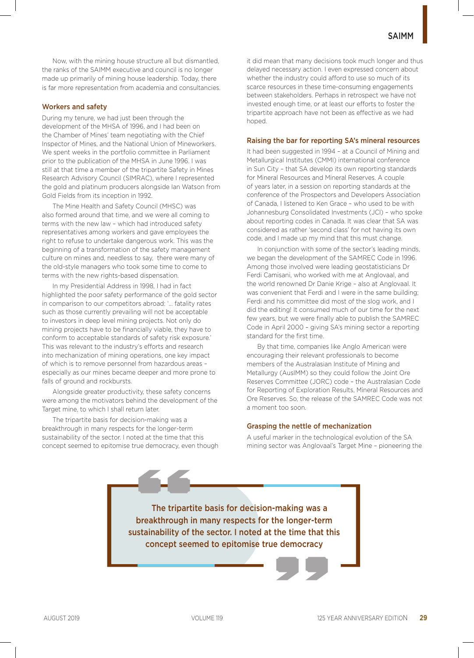Now, with the mining house structure all but dismantled, the ranks of the SAIMM executive and council is no longer made up primarily of mining house leadership. Today, there is far more representation from academia and consultancies.

#### Workers and safety

During my tenure, we had just been through the development of the MHSA of 1996, and I had been on the Chamber of Mines' team negotiating with the Chief Inspector of Mines, and the National Union of Mineworkers. We spent weeks in the portfolio committee in Parliament prior to the publication of the MHSA in June 1996. I was still at that time a member of the tripartite Safety in Mines Research Advisory Council (SIMRAC), where I represented the gold and platinum producers alongside Ian Watson from Gold Fields from its inception in 1992.

The Mine Health and Safety Council (MHSC) was also formed around that time, and we were all coming to terms with the new law – which had introduced safety representatives among workers and gave employees the right to refuse to undertake dangerous work. This was the beginning of a transformation of the safety management culture on mines and, needless to say, there were many of the old-style managers who took some time to come to terms with the new rights-based dispensation.

In my Presidential Address in 1998, I had in fact highlighted the poor safety performance of the gold sector in comparison to our competitors abroad: '… fatality rates such as those currently prevailing will not be acceptable to investors in deep level mining projects. Not only do mining projects have to be financially viable, they have to conform to acceptable standards of safety risk exposure.' This was relevant to the industry's efforts and research into mechanization of mining operations, one key impact of which is to remove personnel from hazardous areas – especially as our mines became deeper and more prone to falls of ground and rockbursts.

Alongside greater productivity, these safety concerns were among the motivators behind the development of the Target mine, to which I shall return later.

The tripartite basis for decision-making was a breakthrough in many respects for the longer-term sustainability of the sector. I noted at the time that this concept seemed to epitomise true democracy, even though it did mean that many decisions took much longer and thus delayed necessary action. I even expressed concern about whether the industry could afford to use so much of its scarce resources in these time-consuming engagements between stakeholders. Perhaps in retrospect we have not invested enough time, or at least our efforts to foster the tripartite approach have not been as effective as we had hoped.

#### Raising the bar for reporting SA's mineral resources

It had been suggested in 1994 – at a Council of Mining and Metallurgical Institutes (CMMI) international conference in Sun City – that SA develop its own reporting standards for Mineral Resources and Mineral Reserves. A couple of years later, in a session on reporting standards at the conference of the Prospectors and Developers Association of Canada, I listened to Ken Grace – who used to be with Johannesburg Consolidated Investments (JCI) – who spoke about reporting codes in Canada. It was clear that SA was considered as rather 'second class' for not having its own code, and I made up my mind that this must change.

In conjunction with some of the sector's leading minds, we began the development of the SAMREC Code in 1996. Among those involved were leading geostatisticians Dr Ferdi Camisani, who worked with me at Anglovaal, and the world renowned Dr Danie Krige – also at Anglovaal. It was convenient that Ferdi and I were in the same building; Ferdi and his committee did most of the slog work, and I did the editing! It consumed much of our time for the next few years, but we were finally able to publish the SAMREC Code in April 2000 – giving SA's mining sector a reporting standard for the first time.

By that time, companies like Anglo American were encouraging their relevant professionals to become members of the Australasian Institute of Mining and Metallurgy (AusIMM) so they could follow the Joint Ore Reserves Committee (JORC) code – the Australasian Code for Reporting of Exploration Results, Mineral Resources and Ore Reserves. So, the release of the SAMREC Code was not a moment too soon.

#### Grasping the nettle of mechanization

A useful marker in the technological evolution of the SA mining sector was Anglovaal's Target Mine – pioneering the

The tripartite basis for decision-making was a breakthrough in many respects for the longer-term sustainability of the sector. I noted at the time that this concept seemed to epitomise true democracy